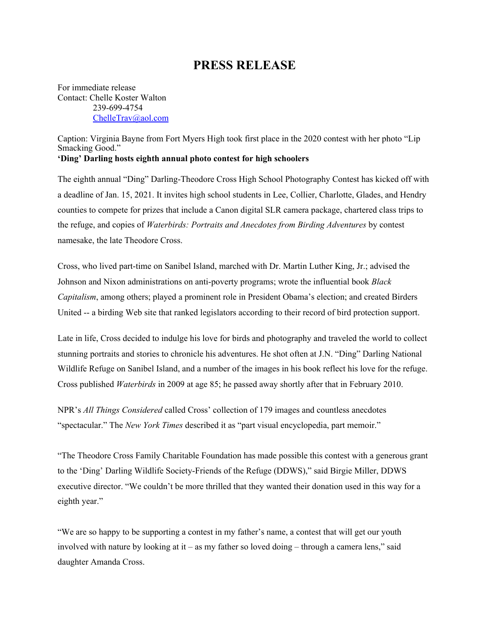## **PRESS RELEASE**

For immediate release Contact: Chelle Koster Walton 239-699-4754 [ChelleTrav@aol.com](mailto:ChelleTrav@aol.com)

Caption: Virginia Bayne from Fort Myers High took first place in the 2020 contest with her photo "Lip Smacking Good." **'Ding' Darling hosts eighth annual photo contest for high schoolers**

The eighth annual "Ding" Darling-Theodore Cross High School Photography Contest has kicked off with a deadline of Jan. 15, 2021. It invites high school students in Lee, Collier, Charlotte, Glades, and Hendry counties to compete for prizes that include a Canon digital SLR camera package, chartered class trips to the refuge, and copies of *Waterbirds: Portraits and Anecdotes from Birding Adventures* by contest namesake, the late Theodore Cross.

Cross, who lived part-time on Sanibel Island, marched with Dr. Martin Luther King, Jr.; advised the Johnson and Nixon administrations on anti-poverty programs; wrote the influential book *Black Capitalism*, among others; played a prominent role in President Obama's election; and created Birders United -- a birding Web site that ranked legislators according to their record of bird protection support.

Late in life, Cross decided to indulge his love for birds and photography and traveled the world to collect stunning portraits and stories to chronicle his adventures. He shot often at J.N. "Ding" Darling National Wildlife Refuge on Sanibel Island, and a number of the images in his book reflect his love for the refuge. Cross published *Waterbirds* in 2009 at age 85; he passed away shortly after that in February 2010.

NPR's *All Things Considered* called Cross' collection of 179 images and countless anecdotes "spectacular." The *New York Times* described it as "part visual encyclopedia, part memoir."

"The Theodore Cross Family Charitable Foundation has made possible this contest with a generous grant to the 'Ding' Darling Wildlife Society-Friends of the Refuge (DDWS)," said Birgie Miller, DDWS executive director. "We couldn't be more thrilled that they wanted their donation used in this way for a eighth year."

"We are so happy to be supporting a contest in my father's name, a contest that will get our youth involved with nature by looking at it – as my father so loved doing – through a camera lens," said daughter Amanda Cross.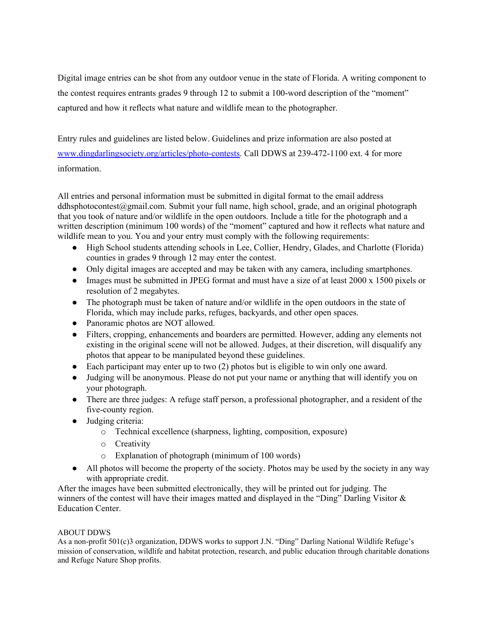Digital image entries can be shot from any outdoor venue in the state of Florida. A writing component to the contest requires entrants grades 9 through 12 to submit a 100-word description of the "moment" captured and how it reflects what nature and wildlife mean to the photographer.

Entry rules and guidelines are listed below. Guidelines and prize information are also posted at [www.dingdarlingsociety.org/articles/photo-contests.](http://www.dingdarlingsociety.org/articles/photo-contests) Call DDWS at 239-472-1100 ext. 4 for more information.

All entries and personal information must be submitted in digital format to the email address ddhsphotocontest $(\partial g$ mail.com. Submit your full name, high school, grade, and an original photograph that you took of nature and/or wildlife in the open outdoors. Include a title for the photograph and a written description (minimum 100 words) of the "moment" captured and how it reflects what nature and wildlife mean to you. You and your entry must comply with the following requirements:

- High School students attending schools in Lee, Collier, Hendry, Glades, and Charlotte (Florida) counties in grades 9 through 12 may enter the contest.
- Only digital images are accepted and may be taken with any camera, including smartphones.
- Images must be submitted in JPEG format and must have a size of at least 2000 x 1500 pixels or resolution of 2 megabytes.
- The photograph must be taken of nature and/or wildlife in the open outdoors in the state of Florida, which may include parks, refuges, backyards, and other open spaces.
- Panoramic photos are NOT allowed.
- Filters, cropping, enhancements and boarders are permitted. However, adding any elements not existing in the original scene will not be allowed. Judges, at their discretion, will disqualify any photos that appear to be manipulated beyond these guidelines.
- Each participant may enter up to two (2) photos but is eligible to win only one award.
- Judging will be anonymous. Please do not put your name or anything that will identify you on your photograph.
- There are three judges: A refuge staff person, a professional photographer, and a resident of the five-county region.
- Judging criteria:
	- o Technical excellence (sharpness, lighting, composition, exposure)
	- o Creativity
	- o Explanation of photograph (minimum of 100 words)
- All photos will become the property of the society. Photos may be used by the society in any way with appropriate credit.

After the images have been submitted electronically, they will be printed out for judging. The winners of the contest will have their images matted and displayed in the "Ding" Darling Visitor  $\&$ Education Center.

## ABOUT DDWS

As a non-profit 501(c)3 organization, DDWS works to support J.N. "Ding" Darling National Wildlife Refuge's mission of conservation, wildlife and habitat protection, research, and public education through charitable donations and Refuge Nature Shop profits.